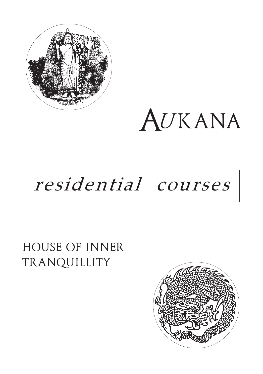

AUKANA

# residential courses

# HOUSE OF INNER TRANQUILLITY

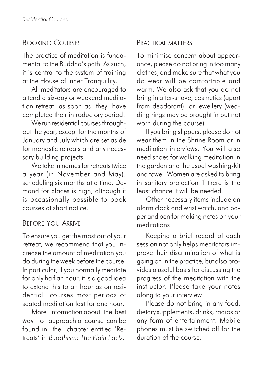# BOOKING COURSES

The practice of meditation is fundamental to the Buddha's path. As such, it is central to the system of training at the House of Inner Tranquillity.

All meditators are encouraged to attend a six-day or weekend meditation retreat as soon as they have completed their introductory period.

We run residential courses throughout the year, except for the months of January and July which are set aside for monastic retreats and any necessary building projects.

We take in names for retreats twice a year (in November and May), scheduling six months at a time. Demand for places is high, although it is occasionally possible to book courses at short notice.

## BEFORE YOU ARRIVE

To ensure you get the most out of your retreat, we recommend that you increase the amount of meditation you do during the week before the course. In particular, if you normally meditate for only half an hour, it is a good idea to extend this to an hour as on residential courses most periods of seated meditation last for one hour.

More information about the best way to approach a course can be found in the chapter entitled 'Retreats' in Buddhism: The Plain Facts.

#### PRACTICAL MATTERS

To minimise concern about appearance, please do not bring in too many clothes, and make sure that what you do wear will be comfortable and warm. We also ask that you do not bring in after-shave, cosmetics (apart from deodorant), or jewellery (wedding rings may be brought in but not worn during the course).

If you bring slippers, please do not wear them in the Shrine Room or in meditation interviews. You will also need shoes for walking meditation in the garden and the usual washing-kit and towel. Women are asked to bring in sanitary protection if there is the least chance it will be needed.

Other necessary items include an alarm clock and wrist watch, and paper and pen for making notes on your meditations.

Keeping a brief record of each session not only helps meditators improve their discrimination of what is going on in the practice, but also provides a useful basis for discussing the progress of the meditation with the instructor. Please take your notes along to your interview.

Please do not bring in any food, dietary supplements, drinks, radios or any form of entertainment. Mobile phones must be switched off for the duration of the course.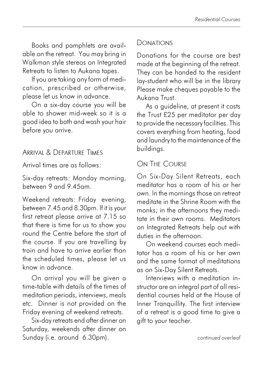Books and pamphlets are available on the retreat. You may bring in Walkman style stereos on Integrated Retreats to listen to Aukana tapes.

If you are taking any form of medication, prescribed or otherwise, please let us know in advance.

On a six-day course you will be able to shower mid-week so it is a good idea to bath and wash your hair before you arrive.

#### ARRIVAL & DEPARTURE TIMES

Arrival times are as follows:

Six-day retreats: Monday morning, between 9 and 9.45am.

Weekend retreats: Friday evening, between 7.45 and 8.30pm. If it is your first retreat please arrive at 7.15 so that there is time for us to show you round the Centre before the start of the course. If you are travelling by train and have to arrive earlier than the scheduled times, please let us know in advance.

On arrival you will be given a time-table with details of the times of meditation periods, interviews, meals etc. Dinner is not provided on the Friday evening of weekend retreats.

Six-day retreats end after dinner on Saturday, weekends after dinner on Sunday (i.e. around 6.30pm).

## DONATIONS

Donations for the course are best made at the beginning of the retreat. They can be handed to the resident lay-student who will be in the library Please make cheques payable to the Aukana Trust.

As a quideline, at present it costs the Trust £25 per meditator per day to provide the necessary facilities. This covers everything from heating, food and laundry to the maintenance of the buildings.

# ON THE COURSE

On Six-Day Silent Retreats, each meditator has a room of his or her own. In the mornings those on retreat meditate in the Shrine Room with the monks; in the afternoons they meditate in their own rooms. Meditators on Integrated Retreats help out with duties in the afternoon.

On weekend courses each meditator has a room of his or her own and the same format of meditations as on Six-Day Silent Retreats.

Interviews with a meditation instructor are an integral part of all residential courses held at the House of Inner Tranquillity. The first interview of a retreat is a good time to give a gift to your teacher.